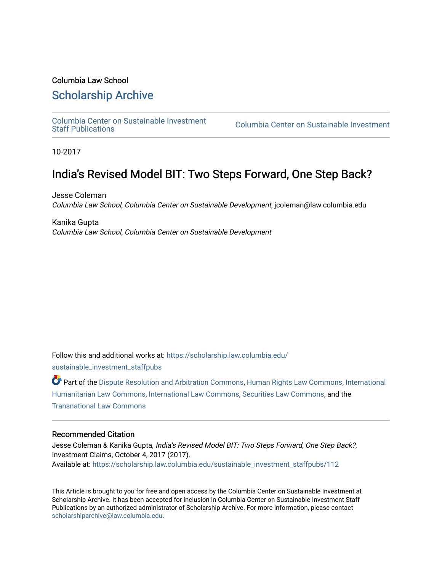## Columbia Law School

## [Scholarship Archive](https://scholarship.law.columbia.edu/)

[Columbia Center on Sustainable Investment](https://scholarship.law.columbia.edu/sustainable_investment_staffpubs) 

Columbia Center on Sustainable Investment

10-2017

# India's Revised Model BIT: Two Steps Forward, One Step Back?

Jesse Coleman Columbia Law School, Columbia Center on Sustainable Development, jcoleman@law.columbia.edu

Kanika Gupta Columbia Law School, Columbia Center on Sustainable Development

Follow this and additional works at: [https://scholarship.law.columbia.edu/](https://scholarship.law.columbia.edu/sustainable_investment_staffpubs?utm_source=scholarship.law.columbia.edu%2Fsustainable_investment_staffpubs%2F112&utm_medium=PDF&utm_campaign=PDFCoverPages) [sustainable\\_investment\\_staffpubs](https://scholarship.law.columbia.edu/sustainable_investment_staffpubs?utm_source=scholarship.law.columbia.edu%2Fsustainable_investment_staffpubs%2F112&utm_medium=PDF&utm_campaign=PDFCoverPages)

Part of the [Dispute Resolution and Arbitration Commons,](http://network.bepress.com/hgg/discipline/890?utm_source=scholarship.law.columbia.edu%2Fsustainable_investment_staffpubs%2F112&utm_medium=PDF&utm_campaign=PDFCoverPages) [Human Rights Law Commons](http://network.bepress.com/hgg/discipline/847?utm_source=scholarship.law.columbia.edu%2Fsustainable_investment_staffpubs%2F112&utm_medium=PDF&utm_campaign=PDFCoverPages), [International](http://network.bepress.com/hgg/discipline/1330?utm_source=scholarship.law.columbia.edu%2Fsustainable_investment_staffpubs%2F112&utm_medium=PDF&utm_campaign=PDFCoverPages)  [Humanitarian Law Commons,](http://network.bepress.com/hgg/discipline/1330?utm_source=scholarship.law.columbia.edu%2Fsustainable_investment_staffpubs%2F112&utm_medium=PDF&utm_campaign=PDFCoverPages) [International Law Commons](http://network.bepress.com/hgg/discipline/609?utm_source=scholarship.law.columbia.edu%2Fsustainable_investment_staffpubs%2F112&utm_medium=PDF&utm_campaign=PDFCoverPages), [Securities Law Commons](http://network.bepress.com/hgg/discipline/619?utm_source=scholarship.law.columbia.edu%2Fsustainable_investment_staffpubs%2F112&utm_medium=PDF&utm_campaign=PDFCoverPages), and the [Transnational Law Commons](http://network.bepress.com/hgg/discipline/1123?utm_source=scholarship.law.columbia.edu%2Fsustainable_investment_staffpubs%2F112&utm_medium=PDF&utm_campaign=PDFCoverPages)

### Recommended Citation

Jesse Coleman & Kanika Gupta, India's Revised Model BIT: Two Steps Forward, One Step Back?, Investment Claims, October 4, 2017 (2017). Available at: [https://scholarship.law.columbia.edu/sustainable\\_investment\\_staffpubs/112](https://scholarship.law.columbia.edu/sustainable_investment_staffpubs/112?utm_source=scholarship.law.columbia.edu%2Fsustainable_investment_staffpubs%2F112&utm_medium=PDF&utm_campaign=PDFCoverPages) 

This Article is brought to you for free and open access by the Columbia Center on Sustainable Investment at Scholarship Archive. It has been accepted for inclusion in Columbia Center on Sustainable Investment Staff Publications by an authorized administrator of Scholarship Archive. For more information, please contact [scholarshiparchive@law.columbia.edu](mailto:scholarshiparchive@law.columbia.edu).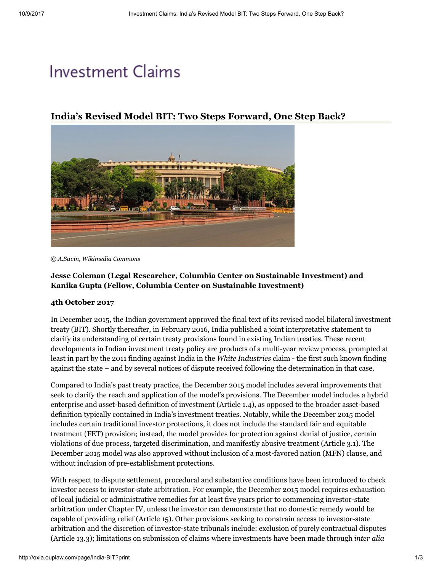# **Investment Claims**

India's Revised Model BIT: Two Steps Forward, One Step Back?



*© A.Savin, [Wikimedia](https://commons.wikimedia.org/wiki/File:New_Delhi_government_block_03-2016_img3.jpg) Commons*

### Jesse Coleman (Legal Researcher, Columbia Center on Sustainable Investment) and Kanika Gupta (Fellow, Columbia Center on Sustainable Investment)

### 4th October 2017

In December 2015, the Indian government approved the final text of its revised [model](http://investmentpolicyhub.unctad.org/Download/TreatyFile/3560) bilateral investment treaty (BIT). Shortly thereafter, in February 2016, India published a joint interpretative [statement](http://indiainbusiness.nic.in/newdesign/upload/Consolidated_Interpretive-Statement.pdf) to clarify its understanding of certain treaty provisions found in existing Indian treaties. These recent developments in Indian investment treaty policy are products of a multi-year review process, [prompted](http://unctad-worldinvestmentforum.org/wp-content/uploads/2015/03/India_side-event-Wednesday_model-agreements.pdf) at least in part by the 2011 finding against India in the *White [Industries](http://oxia.ouplaw.com/view/10.1093/law:iic/529-2011.case.1/law-iic-529-2011?rskey=lbMJ6O&result=1&prd=IC)* claim - the first such known finding against the state – and by [several](https://academic.oup.com/icsidreview/article-abstract/30/3/729/639385/The-2015-Indian-Model-BIT-Is-This-Change-the-World?redirectedFrom=PDF) notices of dispute received following the determination in that case.

Compared to India's past treaty practice, the December 2015 model includes several improvements that seek to clarify the reach and application of the model's provisions. The December model includes a [hybrid](https://academic.oup.com/icsidreview/article-abstract/32/1/216/2738869/The-Final-2015-Indian-Model-BIT-Is-This-the-Change?redirectedFrom=PDF) enterprise and asset-based definition of investment (Article 1.4), as opposed to the broader asset-based definition typically contained in India's investment treaties. Notably, while the December 2015 model includes certain traditional investor protections, it does not include the standard fair and equitable treatment (FET) provision; instead, the model provides for protection against denial of justice, certain violations of due process, targeted discrimination, and manifestly abusive treatment (Article 3.1). The December 2015 model was also approved without inclusion of a most-favored nation (MFN) clause, and without inclusion of pre-establishment protections.

With respect to dispute settlement, procedural and substantive conditions have been introduced to check investor access to investor-state arbitration. For example, the December 2015 model requires exhaustion of local judicial or administrative remedies for at least five years prior to commencing investor-state arbitration under Chapter IV, unless the investor can demonstrate that no domestic remedy would be capable of providing relief (Article 15). Other provisions seeking to constrain access to investor-state arbitration and the discretion of investor-state tribunals include: exclusion of purely contractual disputes (Article 13.3); limitations on submission of claims where investments have been made through *inter alia*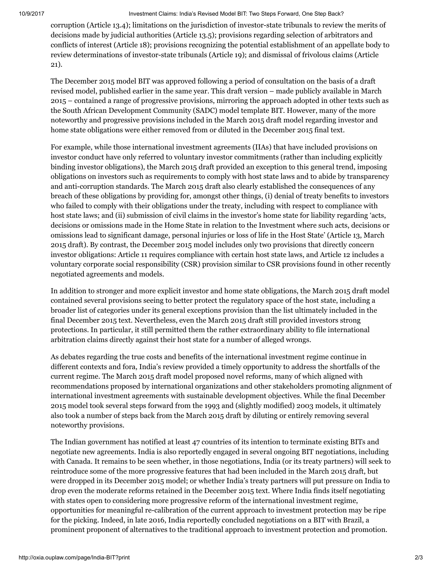#### 10/9/2017 Investment Claims: India's Revised Model BIT: Two Steps Forward, One Step Back?

corruption (Article 13.4); limitations on the jurisdiction of investor-state tribunals to review the merits of decisions made by judicial authorities (Article 13.5); provisions regarding selection of arbitrators and conflicts of interest (Article 18); provisions recognizing the potential establishment of an appellate body to review determinations of investor-state tribunals (Article 19); and dismissal of frivolous claims (Article 21).

The December 2015 model BIT was approved following a period of [consultation on the basis of](https://www.mygov.in/sites/default/files/master_image/Model%20Text%20for%20the%20Indian%20Bilateral%20Investment%20Treaty.pdf) a draft revised model, published earlier in the same year. This draft version – made publicly available in March 2015 – contained a range of progressive provisions, mirroring the approach adopted in other texts such as the South African Development Community (SADC) model template BIT. However, many of the more noteworthy and progressive provisions included in the March 2015 draft model regarding investor and home state obligations were either removed from or diluted in the December 2015 final text.

For example, while those international investment agreements (IIAs) that have included provisions on investor conduct have only referred to voluntary investor commitments (rather than including explicitly binding investor obligations), the March 2015 draft provided an [exception](http://ccsi.columbia.edu/files/2014/03/Yearbook-2014-2015-Chapter-2-LJ-LS-JC.pdf) to this general trend, imposing obligations on investors such as requirements to comply with host state laws and to abide by transparency and anti-corruption standards. The March 2015 draft also clearly established the consequences of any breach of these obligations by providing for, amongst other things, (i) denial of treaty benefits to investors who failed to comply with their obligations under the treaty, including with respect to compliance with host state laws; and (ii) submission of civil claims in the investor's home state for liability regarding 'acts, decisions or omissions made in the Home State in relation to the Investment where such acts, decisions or omissions lead to significant damage, personal injuries or loss of life in the Host State' (Article 13, March 2015 draft). By contrast, the December 2015 model includes only two provisions that directly concern investor obligations: Article 11 requires compliance with certain host state laws, and Article 12 includes a voluntary corporate social responsibility (CSR) provision similar to CSR provisions found in other recently negotiated agreements and models.

In addition to stronger and more explicit investor and home state obligations, the March 2015 draft model contained several provisions seeing to better protect the regulatory space of the host state, including a broader list of categories under its general exceptions provision than the list ultimately included in the final December 2015 text. Nevertheless, even the March 2015 draft still provided investors strong protections. In particular, it still permitted them the rather extraordinary ability to file international arbitration claims directly against their host state for a number of alleged wrongs.

As debates regarding the true costs and benefits of the international investment regime continue in different contexts and fora, India's review provided a timely opportunity to address the shortfalls of the current regime. The March 2015 draft model proposed novel reforms, many of which aligned with recommendations proposed by international organizations and other stakeholders promoting alignment of international investment agreements with sustainable development objectives. While the final December 2015 model took several steps forward from the 1993 and (slightly modified) 2003 models, it ultimately also took a number of steps back from the March 2015 draft by diluting or entirely removing several noteworthy provisions.

The Indian government has notified at least 47 [countries](http://economictimes.indiatimes.com/news/economy/foreigntrade/indiaseeksfreshtreatieswith47nations/articleshow/52458524.cms) of its intention to terminate existing BITs and negotiate new agreements. India is also reportedly engaged in several ongoing BIT negotiations, including with Canada. It remains to be seen whether, in those negotiations, India (or its treaty partners) will seek to reintroduce some of the more progressive features that had been included in the March 2015 draft, but were dropped in its December 2015 model; or whether India's treaty partners will put pressure on India to drop even the moderate reforms retained in the December 2015 text. Where India finds itself negotiating with states open to considering more progressive reform of the international investment regime, opportunities for meaningful re-calibration of the current approach to investment protection may be ripe for the picking. Indeed, in late 2016, India reportedly concluded negotiations on a BIT with Brazil, a prominent proponent of alternatives to the traditional approach to investment protection and promotion.